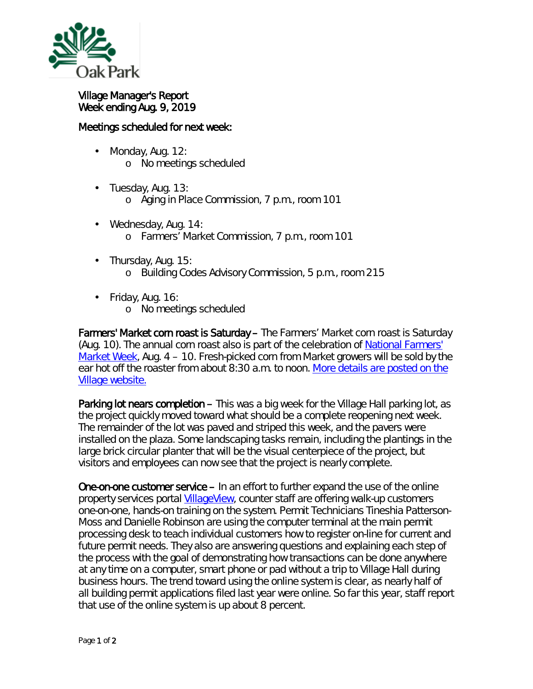

## Village Manager's Report Week ending Aug. 9, 2019

## Meetings scheduled for next week:

- ä, Monday, Aug. 12: o No meetings scheduled
- ä, Tuesday, Aug. 13: o Aging in Place Commission, 7 p.m., room 101
- Wednesday, Aug. 14: ¥, o Farmers' Market Commission, 7 p.m., room 101
- Thursday, Aug. 15: ä,
	- o Building Codes Advisory Commission, 5 p.m., room 215
- Friday, Aug. 16: o No meetings scheduled

Farmers' Market corn roast is Saturday – The Farmers' Market corn roast is Saturday (Aug. 10). The annual corn roast also is part of the celebration of [National Farmers'](https://farmersmarketcoalition.org/national-farmers-market-week/)  [Market Week,](https://farmersmarketcoalition.org/national-farmers-market-week/) Aug. 4 – 10. Fresh-picked corn from Market growers will be sold by the ear hot off the roaster from about 8:30 a.m. to noon. More details [are posted on the](https://www.oak-park.us/news/corn-roast-tap-farmers-market)  [Village website.](https://www.oak-park.us/news/corn-roast-tap-farmers-market)

Parking lot nears completion – This was a big week for the Village Hall parking lot, as the project quickly moved toward what should be a complete reopening next week. The remainder of the lot was paved and striped this week, and the pavers were installed on the plaza. Some landscaping tasks remain, including the plantings in the large brick circular planter that will be the visual centerpiece of the project, but visitors and employees can now see that the project is nearly complete.

One-on-one customer service – In an effort to further expand the use of the online property services portal [VillageView,](https://villageview.oak-park.us/CityViewPortal) counter staff are offering walk-up customers one-on-one, hands-on training on the system. Permit Technicians Tineshia Patterson-Moss and Danielle Robinson are using the computer terminal at the main permit processing desk to teach individual customers how to register on-line for current and future permit needs. They also are answering questions and explaining each step of the process with the goal of demonstrating how transactions can be done anywhere at any time on a computer, smart phone or pad without a trip to Village Hall during business hours. The trend toward using the online system is clear, as nearly half of all building permit applications filed last year were online. So far this year, staff report that use of the online system is up about 8 percent.